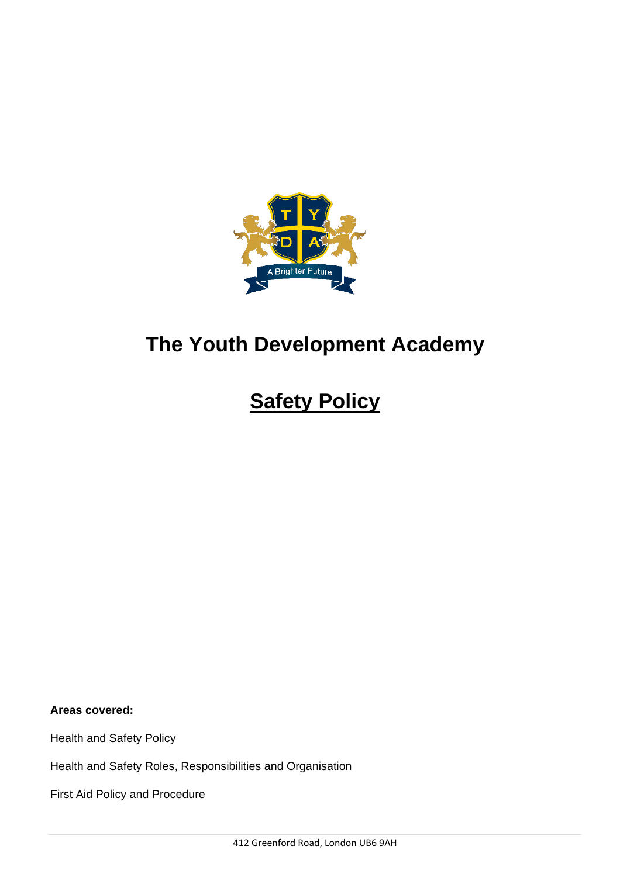

# **The Youth Development Academy**

# **Safety Policy**

**Areas covered:**

Health and Safety Policy

Health and Safety Roles, Responsibilities and Organisation

First Aid Policy and Procedure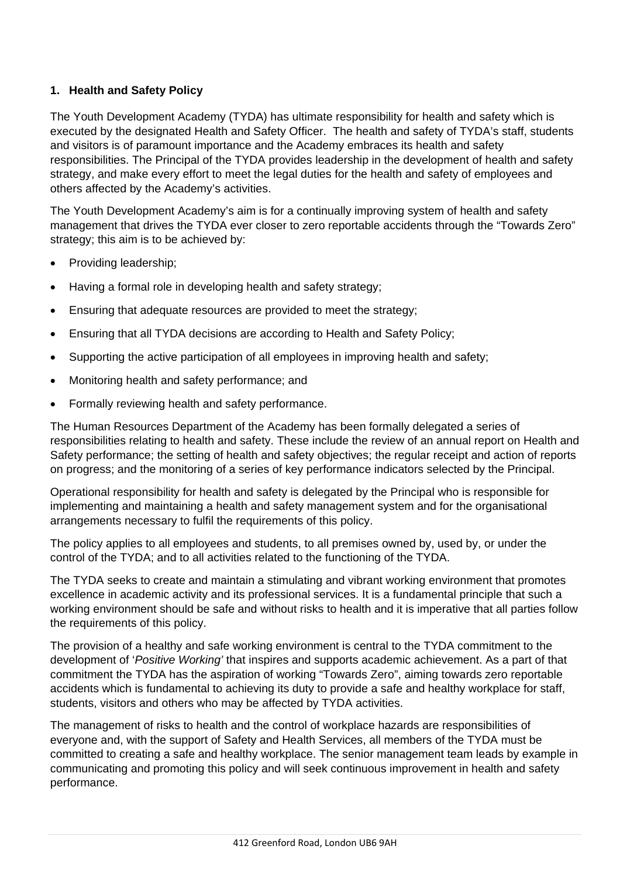# **1. Health and Safety Policy**

The Youth Development Academy (TYDA) has ultimate responsibility for health and safety which is executed by the designated Health and Safety Officer. The health and safety of TYDA's staff, students and visitors is of paramount importance and the Academy embraces its health and safety responsibilities. The Principal of the TYDA provides leadership in the development of health and safety strategy, and make every effort to meet the legal duties for the health and safety of employees and others affected by the Academy's activities.

The Youth Development Academy's aim is for a continually improving system of health and safety management that drives the TYDA ever closer to zero reportable accidents through the "Towards Zero" strategy; this aim is to be achieved by:

- Providing leadership;
- Having a formal role in developing health and safety strategy;
- Ensuring that adequate resources are provided to meet the strategy;
- Ensuring that all TYDA decisions are according to Health and Safety Policy;
- Supporting the active participation of all employees in improving health and safety;
- Monitoring health and safety performance; and
- Formally reviewing health and safety performance.

The Human Resources Department of the Academy has been formally delegated a series of responsibilities relating to health and safety. These include the review of an annual report on Health and Safety performance; the setting of health and safety objectives; the regular receipt and action of reports on progress; and the monitoring of a series of key performance indicators selected by the Principal.

Operational responsibility for health and safety is delegated by the Principal who is responsible for implementing and maintaining a health and safety management system and for the organisational arrangements necessary to fulfil the requirements of this policy.

The policy applies to all employees and students, to all premises owned by, used by, or under the control of the TYDA; and to all activities related to the functioning of the TYDA.

The TYDA seeks to create and maintain a stimulating and vibrant working environment that promotes excellence in academic activity and its professional services. It is a fundamental principle that such a working environment should be safe and without risks to health and it is imperative that all parties follow the requirements of this policy.

The provision of a healthy and safe working environment is central to the TYDA commitment to the development of '*Positive Working'* that inspires and supports academic achievement. As a part of that commitment the TYDA has the aspiration of working "Towards Zero", aiming towards zero reportable accidents which is fundamental to achieving its duty to provide a safe and healthy workplace for staff, students, visitors and others who may be affected by TYDA activities.

The management of risks to health and the control of workplace hazards are responsibilities of everyone and, with the support of Safety and Health Services, all members of the TYDA must be committed to creating a safe and healthy workplace. The senior management team leads by example in communicating and promoting this policy and will seek continuous improvement in health and safety performance.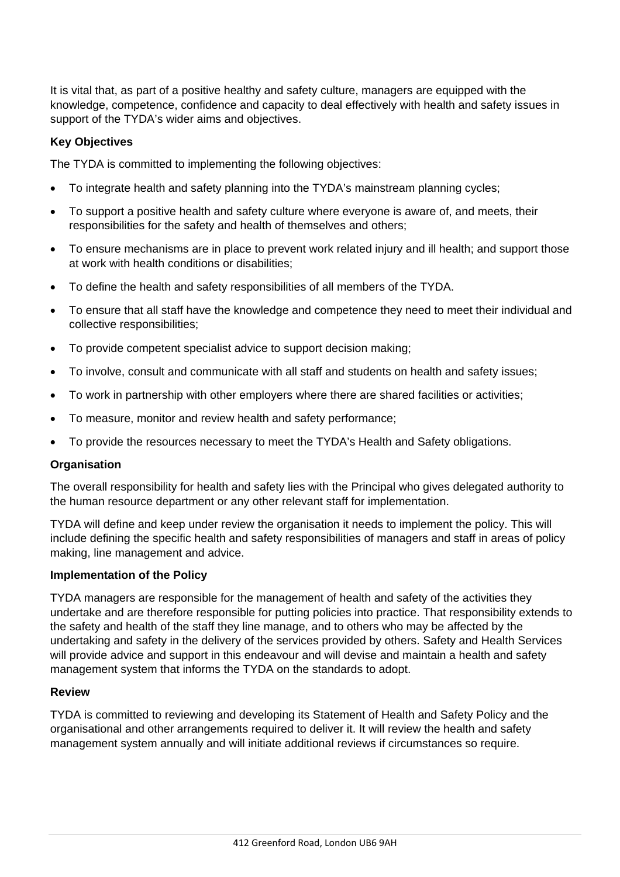It is vital that, as part of a positive healthy and safety culture, managers are equipped with the knowledge, competence, confidence and capacity to deal effectively with health and safety issues in support of the TYDA's wider aims and objectives.

## **Key Objectives**

The TYDA is committed to implementing the following objectives:

- To integrate health and safety planning into the TYDA's mainstream planning cycles;
- To support a positive health and safety culture where everyone is aware of, and meets, their responsibilities for the safety and health of themselves and others;
- To ensure mechanisms are in place to prevent work related injury and ill health; and support those at work with health conditions or disabilities;
- To define the health and safety responsibilities of all members of the TYDA.
- To ensure that all staff have the knowledge and competence they need to meet their individual and collective responsibilities;
- To provide competent specialist advice to support decision making;
- To involve, consult and communicate with all staff and students on health and safety issues;
- To work in partnership with other employers where there are shared facilities or activities;
- To measure, monitor and review health and safety performance;
- To provide the resources necessary to meet the TYDA's Health and Safety obligations.

#### **Organisation**

The overall responsibility for health and safety lies with the Principal who gives delegated authority to the human resource department or any other relevant staff for implementation.

TYDA will define and keep under review the organisation it needs to implement the policy. This will include defining the specific health and safety responsibilities of managers and staff in areas of policy making, line management and advice.

#### **Implementation of the Policy**

TYDA managers are responsible for the management of health and safety of the activities they undertake and are therefore responsible for putting policies into practice. That responsibility extends to the safety and health of the staff they line manage, and to others who may be affected by the undertaking and safety in the delivery of the services provided by others. Safety and Health Services will provide advice and support in this endeavour and will devise and maintain a health and safety management system that informs the TYDA on the standards to adopt.

#### **Review**

TYDA is committed to reviewing and developing its Statement of Health and Safety Policy and the organisational and other arrangements required to deliver it. It will review the health and safety management system annually and will initiate additional reviews if circumstances so require.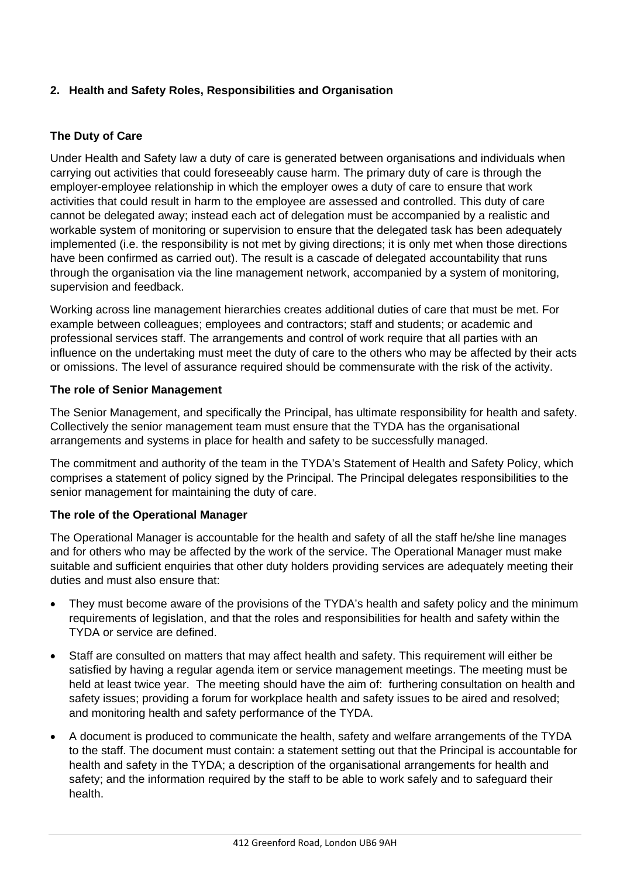# **2. Health and Safety Roles, Responsibilities and Organisation**

## **The Duty of Care**

Under Health and Safety law a duty of care is generated between organisations and individuals when carrying out activities that could foreseeably cause harm. The primary duty of care is through the employer-employee relationship in which the employer owes a duty of care to ensure that work activities that could result in harm to the employee are assessed and controlled. This duty of care cannot be delegated away; instead each act of delegation must be accompanied by a realistic and workable system of monitoring or supervision to ensure that the delegated task has been adequately implemented (i.e. the responsibility is not met by giving directions; it is only met when those directions have been confirmed as carried out). The result is a cascade of delegated accountability that runs through the organisation via the line management network, accompanied by a system of monitoring, supervision and feedback.

Working across line management hierarchies creates additional duties of care that must be met. For example between colleagues; employees and contractors; staff and students; or academic and professional services staff. The arrangements and control of work require that all parties with an influence on the undertaking must meet the duty of care to the others who may be affected by their acts or omissions. The level of assurance required should be commensurate with the risk of the activity.

### **The role of Senior Management**

The Senior Management, and specifically the Principal, has ultimate responsibility for health and safety. Collectively the senior management team must ensure that the TYDA has the organisational arrangements and systems in place for health and safety to be successfully managed.

The commitment and authority of the team in the TYDA's Statement of Health and Safety Policy, which comprises a statement of policy signed by the Principal. The Principal delegates responsibilities to the senior management for maintaining the duty of care.

## **The role of the Operational Manager**

The Operational Manager is accountable for the health and safety of all the staff he/she line manages and for others who may be affected by the work of the service. The Operational Manager must make suitable and sufficient enquiries that other duty holders providing services are adequately meeting their duties and must also ensure that:

- They must become aware of the provisions of the TYDA's health and safety policy and the minimum requirements of legislation, and that the roles and responsibilities for health and safety within the TYDA or service are defined.
- Staff are consulted on matters that may affect health and safety. This requirement will either be satisfied by having a regular agenda item or service management meetings. The meeting must be held at least twice year. The meeting should have the aim of: furthering consultation on health and safety issues; providing a forum for workplace health and safety issues to be aired and resolved; and monitoring health and safety performance of the TYDA.
- A document is produced to communicate the health, safety and welfare arrangements of the TYDA to the staff. The document must contain: a statement setting out that the Principal is accountable for health and safety in the TYDA; a description of the organisational arrangements for health and safety; and the information required by the staff to be able to work safely and to safeguard their health.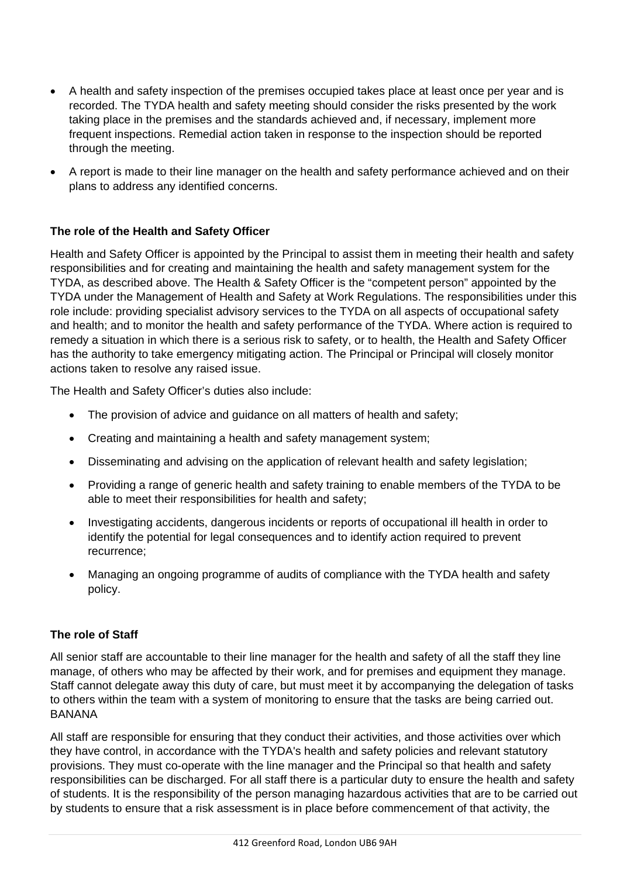- A health and safety inspection of the premises occupied takes place at least once per year and is recorded. The TYDA health and safety meeting should consider the risks presented by the work taking place in the premises and the standards achieved and, if necessary, implement more frequent inspections. Remedial action taken in response to the inspection should be reported through the meeting.
- A report is made to their line manager on the health and safety performance achieved and on their plans to address any identified concerns.

## **The role of the Health and Safety Officer**

Health and Safety Officer is appointed by the Principal to assist them in meeting their health and safety responsibilities and for creating and maintaining the health and safety management system for the TYDA, as described above. The Health & Safety Officer is the "competent person" appointed by the TYDA under the Management of Health and Safety at Work Regulations. The responsibilities under this role include: providing specialist advisory services to the TYDA on all aspects of occupational safety and health; and to monitor the health and safety performance of the TYDA. Where action is required to remedy a situation in which there is a serious risk to safety, or to health, the Health and Safety Officer has the authority to take emergency mitigating action. The Principal or Principal will closely monitor actions taken to resolve any raised issue.

The Health and Safety Officer's duties also include:

- The provision of advice and guidance on all matters of health and safety;
- Creating and maintaining a health and safety management system;
- Disseminating and advising on the application of relevant health and safety legislation;
- Providing a range of generic health and safety training to enable members of the TYDA to be able to meet their responsibilities for health and safety;
- Investigating accidents, dangerous incidents or reports of occupational ill health in order to identify the potential for legal consequences and to identify action required to prevent recurrence;
- Managing an ongoing programme of audits of compliance with the TYDA health and safety policy.

## **The role of Staff**

All senior staff are accountable to their line manager for the health and safety of all the staff they line manage, of others who may be affected by their work, and for premises and equipment they manage. Staff cannot delegate away this duty of care, but must meet it by accompanying the delegation of tasks to others within the team with a system of monitoring to ensure that the tasks are being carried out. BANANA

All staff are responsible for ensuring that they conduct their activities, and those activities over which they have control, in accordance with the TYDA's health and safety policies and relevant statutory provisions. They must co-operate with the line manager and the Principal so that health and safety responsibilities can be discharged. For all staff there is a particular duty to ensure the health and safety of students. It is the responsibility of the person managing hazardous activities that are to be carried out by students to ensure that a risk assessment is in place before commencement of that activity, the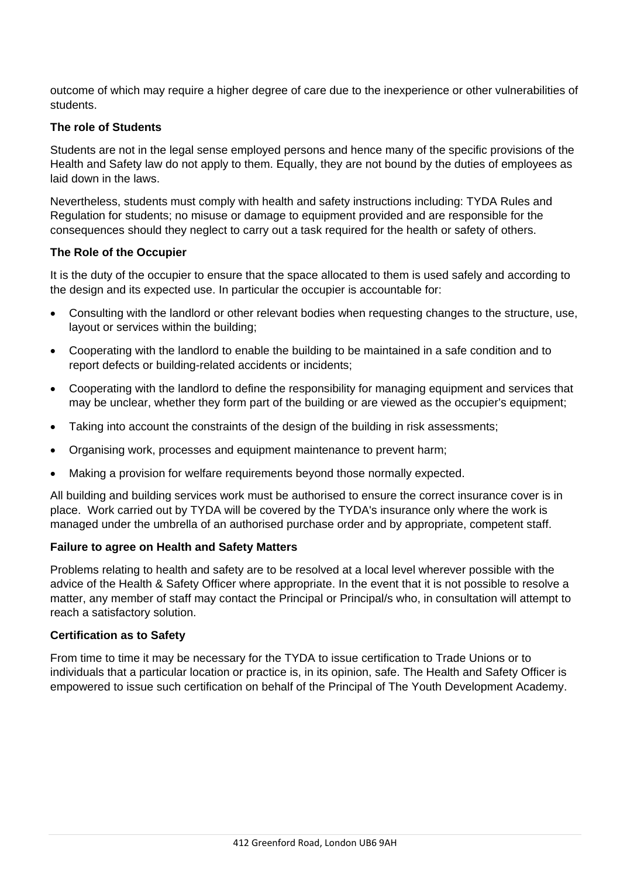outcome of which may require a higher degree of care due to the inexperience or other vulnerabilities of students.

### **The role of Students**

Students are not in the legal sense employed persons and hence many of the specific provisions of the Health and Safety law do not apply to them. Equally, they are not bound by the duties of employees as laid down in the laws.

Nevertheless, students must comply with health and safety instructions including: TYDA Rules and Regulation for students; no misuse or damage to equipment provided and are responsible for the consequences should they neglect to carry out a task required for the health or safety of others.

#### **The Role of the Occupier**

It is the duty of the occupier to ensure that the space allocated to them is used safely and according to the design and its expected use. In particular the occupier is accountable for:

- Consulting with the landlord or other relevant bodies when requesting changes to the structure, use, layout or services within the building;
- Cooperating with the landlord to enable the building to be maintained in a safe condition and to report defects or building-related accidents or incidents;
- Cooperating with the landlord to define the responsibility for managing equipment and services that may be unclear, whether they form part of the building or are viewed as the occupier's equipment;
- Taking into account the constraints of the design of the building in risk assessments;
- Organising work, processes and equipment maintenance to prevent harm;
- Making a provision for welfare requirements beyond those normally expected.

All building and building services work must be authorised to ensure the correct insurance cover is in place. Work carried out by TYDA will be covered by the TYDA's insurance only where the work is managed under the umbrella of an authorised purchase order and by appropriate, competent staff.

### **Failure to agree on Health and Safety Matters**

Problems relating to health and safety are to be resolved at a local level wherever possible with the advice of the Health & Safety Officer where appropriate. In the event that it is not possible to resolve a matter, any member of staff may contact the Principal or Principal/s who, in consultation will attempt to reach a satisfactory solution.

#### **Certification as to Safety**

From time to time it may be necessary for the TYDA to issue certification to Trade Unions or to individuals that a particular location or practice is, in its opinion, safe. The Health and Safety Officer is empowered to issue such certification on behalf of the Principal of The Youth Development Academy.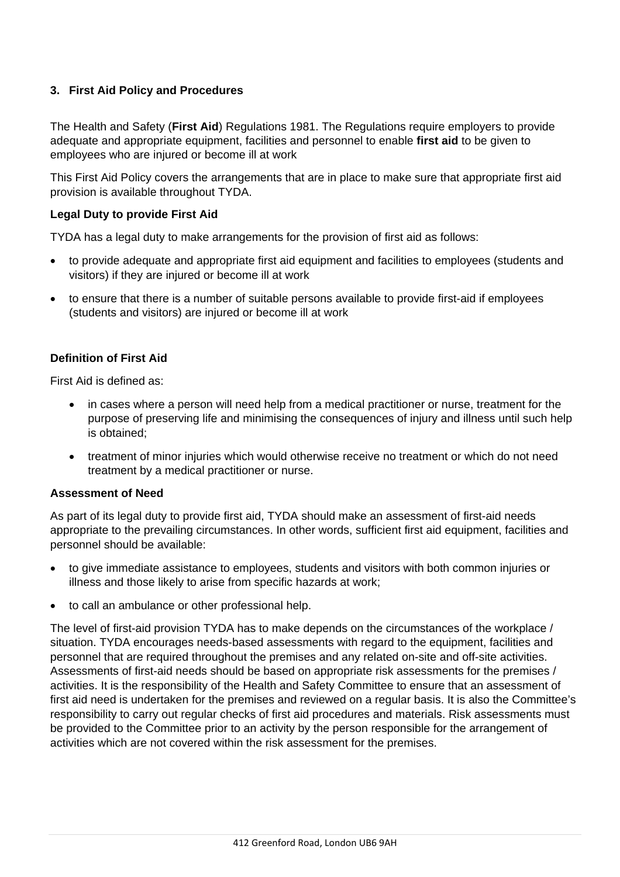# **3. First Aid Policy and Procedures**

The Health and Safety (**First Aid**) Regulations 1981. The Regulations require employers to provide adequate and appropriate equipment, facilities and personnel to enable **first aid** to be given to employees who are injured or become ill at work

This First Aid Policy covers the arrangements that are in place to make sure that appropriate first aid provision is available throughout TYDA.

## **Legal Duty to provide First Aid**

TYDA has a legal duty to make arrangements for the provision of first aid as follows:

- to provide adequate and appropriate first aid equipment and facilities to employees (students and visitors) if they are injured or become ill at work
- to ensure that there is a number of suitable persons available to provide first-aid if employees (students and visitors) are injured or become ill at work

## **Definition of First Aid**

First Aid is defined as:

- in cases where a person will need help from a medical practitioner or nurse, treatment for the purpose of preserving life and minimising the consequences of injury and illness until such help is obtained;
- treatment of minor injuries which would otherwise receive no treatment or which do not need treatment by a medical practitioner or nurse.

### **Assessment of Need**

As part of its legal duty to provide first aid, TYDA should make an assessment of first-aid needs appropriate to the prevailing circumstances. In other words, sufficient first aid equipment, facilities and personnel should be available:

- to give immediate assistance to employees, students and visitors with both common injuries or illness and those likely to arise from specific hazards at work;
- to call an ambulance or other professional help.

The level of first-aid provision TYDA has to make depends on the circumstances of the workplace / situation. TYDA encourages needs-based assessments with regard to the equipment, facilities and personnel that are required throughout the premises and any related on-site and off-site activities. Assessments of first-aid needs should be based on appropriate risk assessments for the premises / activities. It is the responsibility of the Health and Safety Committee to ensure that an assessment of first aid need is undertaken for the premises and reviewed on a regular basis. It is also the Committee's responsibility to carry out regular checks of first aid procedures and materials. Risk assessments must be provided to the Committee prior to an activity by the person responsible for the arrangement of activities which are not covered within the risk assessment for the premises.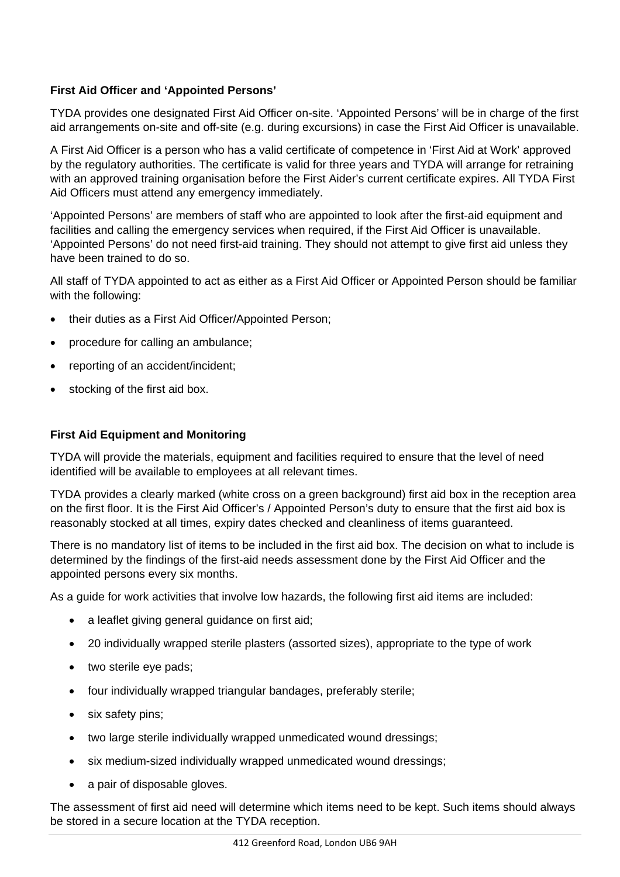# **First Aid Officer and 'Appointed Persons'**

TYDA provides one designated First Aid Officer on-site. 'Appointed Persons' will be in charge of the first aid arrangements on-site and off-site (e.g. during excursions) in case the First Aid Officer is unavailable.

A First Aid Officer is a person who has a valid certificate of competence in 'First Aid at Work' approved by the regulatory authorities. The certificate is valid for three years and TYDA will arrange for retraining with an approved training organisation before the First Aider's current certificate expires. All TYDA First Aid Officers must attend any emergency immediately.

'Appointed Persons' are members of staff who are appointed to look after the first-aid equipment and facilities and calling the emergency services when required, if the First Aid Officer is unavailable. 'Appointed Persons' do not need first-aid training. They should not attempt to give first aid unless they have been trained to do so.

All staff of TYDA appointed to act as either as a First Aid Officer or Appointed Person should be familiar with the following:

- their duties as a First Aid Officer/Appointed Person;
- procedure for calling an ambulance;
- reporting of an accident/incident;
- stocking of the first aid box.

# **First Aid Equipment and Monitoring**

TYDA will provide the materials, equipment and facilities required to ensure that the level of need identified will be available to employees at all relevant times.

TYDA provides a clearly marked (white cross on a green background) first aid box in the reception area on the first floor. It is the First Aid Officer's / Appointed Person's duty to ensure that the first aid box is reasonably stocked at all times, expiry dates checked and cleanliness of items guaranteed.

There is no mandatory list of items to be included in the first aid box. The decision on what to include is determined by the findings of the first-aid needs assessment done by the First Aid Officer and the appointed persons every six months.

As a guide for work activities that involve low hazards, the following first aid items are included:

- a leaflet giving general guidance on first aid;
- 20 individually wrapped sterile plasters (assorted sizes), appropriate to the type of work
- two sterile eye pads;
- four individually wrapped triangular bandages, preferably sterile;
- six safety pins;
- two large sterile individually wrapped unmedicated wound dressings;
- six medium-sized individually wrapped unmedicated wound dressings;
- a pair of disposable gloves.

The assessment of first aid need will determine which items need to be kept. Such items should always be stored in a secure location at the TYDA reception.